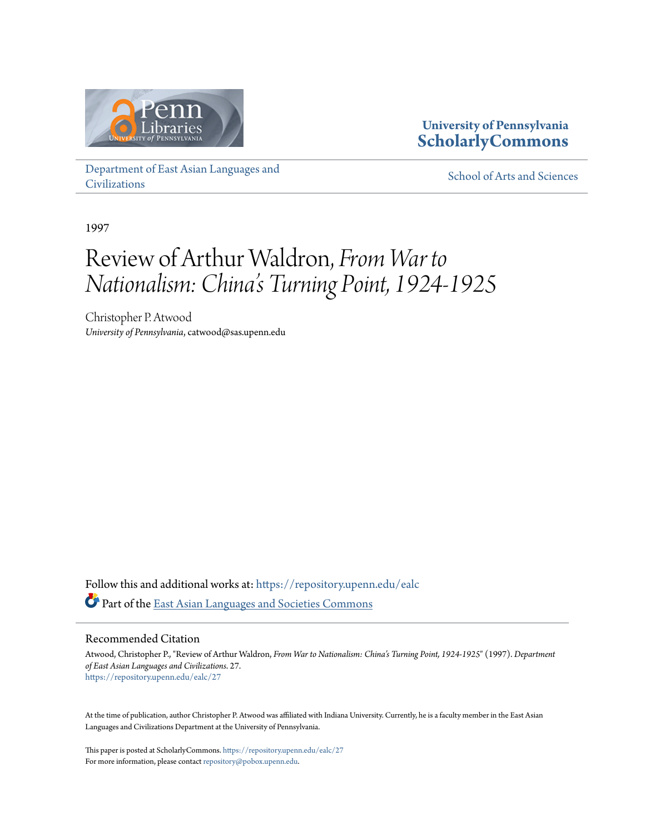

### **University of Pennsylvania [ScholarlyCommons](https://repository.upenn.edu?utm_source=repository.upenn.edu%2Fealc%2F27&utm_medium=PDF&utm_campaign=PDFCoverPages)**

[Department of East Asian Languages and](https://repository.upenn.edu/ealc?utm_source=repository.upenn.edu%2Fealc%2F27&utm_medium=PDF&utm_campaign=PDFCoverPages) [Civilizations](https://repository.upenn.edu/ealc?utm_source=repository.upenn.edu%2Fealc%2F27&utm_medium=PDF&utm_campaign=PDFCoverPages)

[School of Arts and Sciences](https://repository.upenn.edu/sas?utm_source=repository.upenn.edu%2Fealc%2F27&utm_medium=PDF&utm_campaign=PDFCoverPages)

1997

### Review of Arthur Waldron, *From War to Nationalism: China's Turning Point, 1924-1925*

Christopher P. Atwood *University of Pennsylvania*, catwood@sas.upenn.edu

Follow this and additional works at: [https://repository.upenn.edu/ealc](https://repository.upenn.edu/ealc?utm_source=repository.upenn.edu%2Fealc%2F27&utm_medium=PDF&utm_campaign=PDFCoverPages) Part of the [East Asian Languages and Societies Commons](http://network.bepress.com/hgg/discipline/481?utm_source=repository.upenn.edu%2Fealc%2F27&utm_medium=PDF&utm_campaign=PDFCoverPages)

#### Recommended Citation

Atwood, Christopher P., "Review of Arthur Waldron, *From War to Nationalism: China's Turning Point, 1924-1925*" (1997). *Department of East Asian Languages and Civilizations*. 27. [https://repository.upenn.edu/ealc/27](https://repository.upenn.edu/ealc/27?utm_source=repository.upenn.edu%2Fealc%2F27&utm_medium=PDF&utm_campaign=PDFCoverPages)

At the time of publication, author Christopher P. Atwood was affiliated with Indiana University. Currently, he is a faculty member in the East Asian Languages and Civilizations Department at the University of Pennsylvania.

This paper is posted at ScholarlyCommons. <https://repository.upenn.edu/ealc/27> For more information, please contact [repository@pobox.upenn.edu.](mailto:repository@pobox.upenn.edu)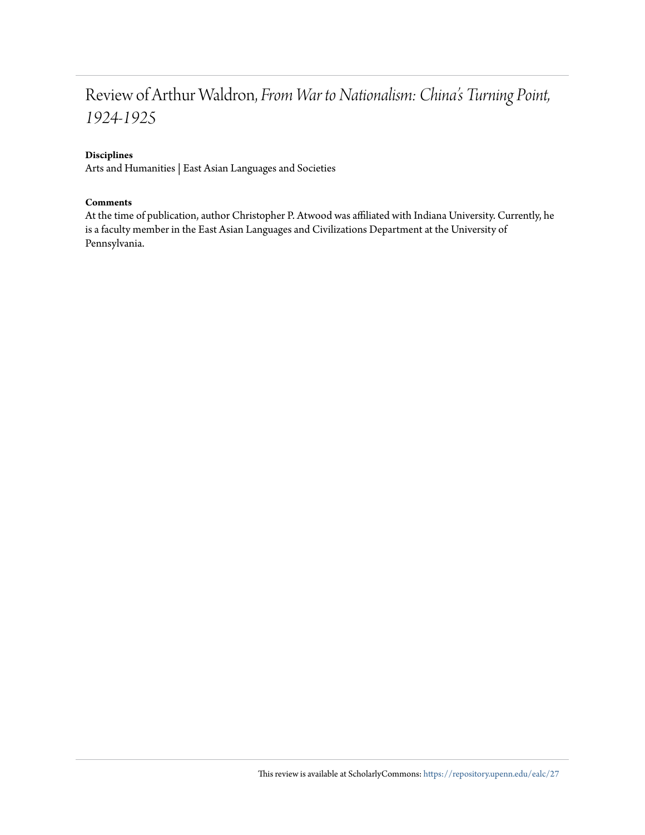### Review of Arthur Waldron, *From War to Nationalism: China's Turning Point, 1924-1925*

#### **Disciplines**

Arts and Humanities | East Asian Languages and Societies

#### **Comments**

At the time of publication, author Christopher P. Atwood was affiliated with Indiana University. Currently, he is a faculty member in the East Asian Languages and Civilizations Department at the University of Pennsylvania.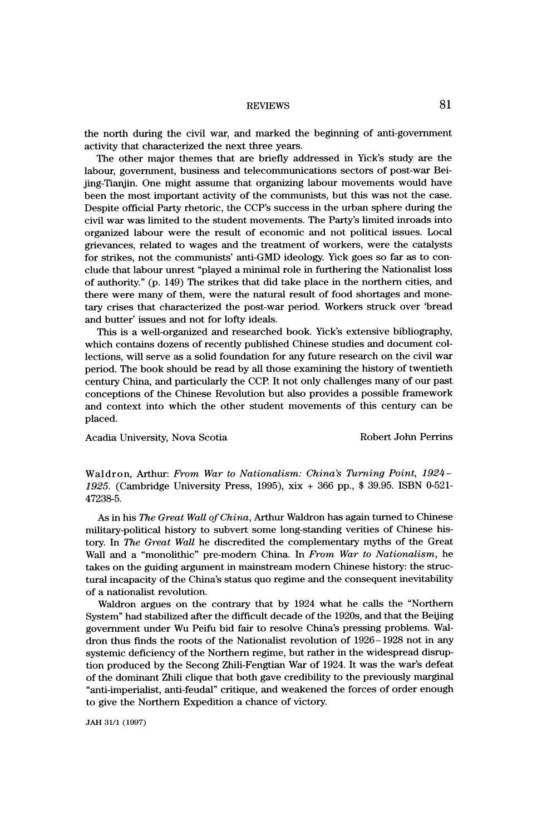# REVIEWS 81

the north during the civil war, and marked the beginning of anti-government the north during the civil war, and marked the beginning of anti-government activity that characterized the next three years.<br>The other major themes that are briefly addressed in Yick's study are the

The other major themes that are briefly addressed in Yick's study are the<br>neur government business and telecommunications sectors of post-war Bei-The other major themes that are briefly addressed in Yick's study are the<br>labour, government, business and telecommunications sectors of post-war Bei-<br>iing-Tianiin. One might assume that organizing labour movements would h labour, government, business and telecommunications sectors of post-war Bei-<br>jing-Tianjin. One might assume that organizing labour movements would have<br>been the most important activity of the communists, but this was not t jing-Tianjin. One might assume that organizing labour movements would have<br>been the most important activity of the communists, but this was not the case.<br>Despite official Party rhatoric, the CCP's success in the urban sphe been the most important activity of the communists, but this was not the case.<br>Despite official Party rhetoric, the CCP's success in the urban sphere during the<br>civil war was limited to the student movements. The Party's l Despite official Party rhetoric, the CCP's success in the urban sphere during the<br>civil war was limited to the student movements. The Party's limited inroads into<br>extensional labour wave the result of economia and not poli civil war was limited to the student movements. The Party's limited inroads into<br>organized labour were the result of economic and not political issues. Local<br>grigyanese, related to wages and the treatment of workers, were organized labour were the result of economic and not political issues. Local<br>grievances, related to wages and the treatment of workers, were the catalysts<br>for strikes, not the communists' anti-GMD ideology. Vick goes so fa grievances, related to wages and the treatment of workers, were the catalysts<br>for strikes, not the communists' anti-GMD ideology. Yick goes so far as to con-<br>alude that labour uncest "played a minimal role in furthering th for strikes, not the communists' anti-GMD ideology. Yick goes so far as to conclude that labour unrest "played a minimal role in furthering the Nationalist loss of authority." (p. 149) The strikes that did take place in th clude that labour unrest "played a minimal role in furthering the Nationalist loss<br>of authority." (p. 149) The strikes that did take place in the northern cities, and<br>there were many of them, were the natural result of foo of authority." (p. 149) The strikes that did take place in the northern cities, and<br>there were many of them, were the natural result of food shortages and mone-<br>term grispe that characterized the post war period. Workers s there were many of them, were the natural result of food shortages and mone-<br>tary crises that characterized the post-war period. Workers struck over 'bread<br>and butter' issues and not for lofty ideals tary crises that characterized the post-war period. Workers struck over 'bread and butter' issues and not for lofty ideals.<br>This is a well-organized and researched book. Yick's extensive bibliography,

d butter' issues and not for lofty ideals.<br>This is a well-organized and researched book. Yick's extensive bibliography,<br>sich contains dozens of recently published Chinese studies and document col-This is a well-organized and researched book. Yick's extensive bibliography,<br>which contains dozens of recently published Chinese studies and document col-<br>leating will gave as a solid foundation for any future research on which contains dozens of recently published Chinese studies and document collections, will serve as a solid foundation for any future research on the civil war<br>ported. The book should be read by all those examining the bis ections, will serve as a solid foundation for any future research on the civil war<br>period. The book should be read by all those examining the history of twentieth<br>contum: China, and perticularly the CCB It not only challen period. The book should be read by all those examining the history of twentieth<br>century China, and particularly the CCP. It not only challenges many of our past<br>concentions of the Chinese Povelution but also provides a pos century China, and particularly the CCP. It not only challenges many of our past<br>conceptions of the Chinese Revolution but also provides a possible framework<br>and context into which the other student movements of this centu and context into which the other student movements of this century can be placed.

Acadia University, Nova Scotia and Robert John Perrins

Waldron, Arthur: From War to Nationalism: China's Turning Point, 1924- 1925. (Cambridge University Press, 1995), xix + 366 pp., \$ 39.95. ISBN 0-521- 47238-5.

As in his The Great Wall of China, Arthur Waldron has again turned to Chinese military-political history to subvert some long-standing verities of Chinese his tory. In The Great Wall he discredited the complementary myths of the Great Wall and a "monolithic" pre-modern China. In From War to Nationalism, he takes on the guiding argument in mainstream modern Chinese history: the struc tural incapacity of the China's status quo regime and the consequent inevitability of a nationalist revolution.

 Waldron argues on the contrary that by 1924 what he calls the "Northern System" had stabilized after the difficult decade of the 1920s, and that the Beijing government under Wu Peifu bid fair to resolve China's pressing problems. Wal dron thus finds the roots of the Nationalist revolution of 1926-1928 not in any systemic deficiency of the Northern regime, but rather in the widespread disrup tion produced by the Secong Zhili-Fengtian War of 1924. It was the war's defeat of the dominant Zhili clique that both gave credibility to the previously marginal "anti-imperialist, anti-feudal" critique, and weakened the forces of order enough to give the Northern Expedition a chance of victory.

JAH 31/1 (1997)